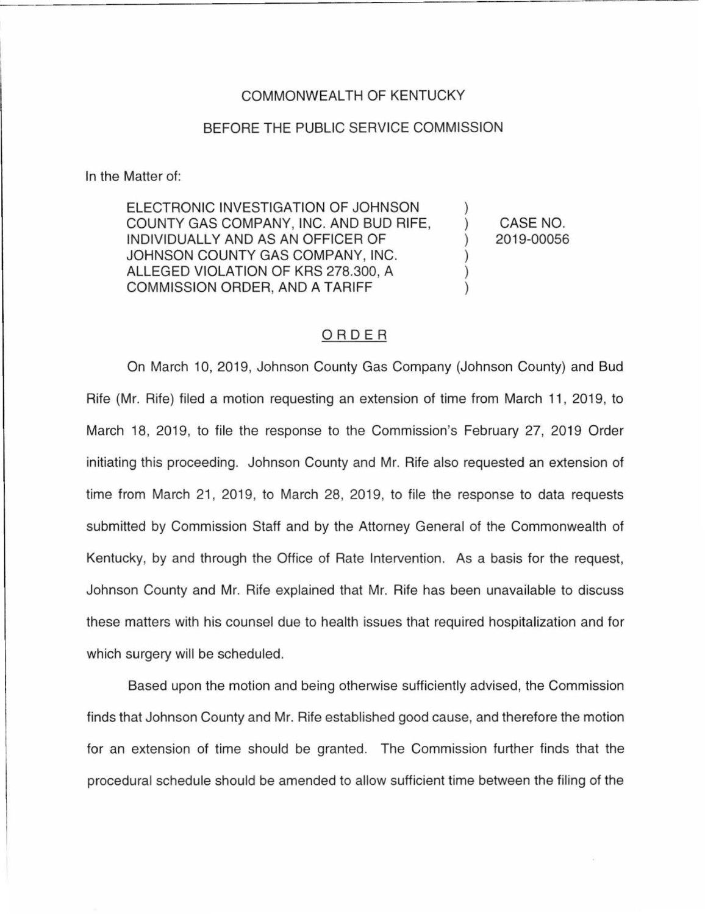### COMMONWEALTH OF KENTUCKY

#### BEFORE THE PUBLIC SERVICE COMMISSION

In the Matter of:

ELECTRONIC INVESTIGATION OF JOHNSON COUNTY GAS COMPANY, INC. AND BUD RIFE, INDIVIDUALLY AND AS AN OFFICER OF JOHNSON COUNTY GAS COMPANY, INC. ALLEGED VIOLATION OF KRS 278.300, A COMMISSION ORDER, AND A TARIFF ) ) ) ) ) ) CASE NO. 2019-00056

### ORDER

On March 10, 2019, Johnson County Gas Company (Johnson County) and Bud Rife (Mr. Rife) filed a motion requesting an extension of time from March 11 , 2019, to March 18, 2019, to file the response to the Commission's February 27, 2019 Order initiating this proceeding. Johnson County and Mr. Rife also requested an extension of time from March 21, 2019, to March 28, 2019, to file the response to data requests submitted by Commission Staff and by the Attorney General of the Commonwealth of Kentucky, by and through the Office of Rate Intervention. As a basis for the request, Johnson County and Mr. Rife explained that Mr. Rife has been unavailable to discuss these matters with his counsel due to health issues that required hospitalization and for which surgery will be scheduled.

Based upon the motion and being otherwise sufficiently advised, the Commission finds that Johnson County and Mr. Rife established good cause, and therefore the motion for an extension of time should be granted. The Commission further finds that the procedural schedule should be amended to allow sufficient time between the filing of the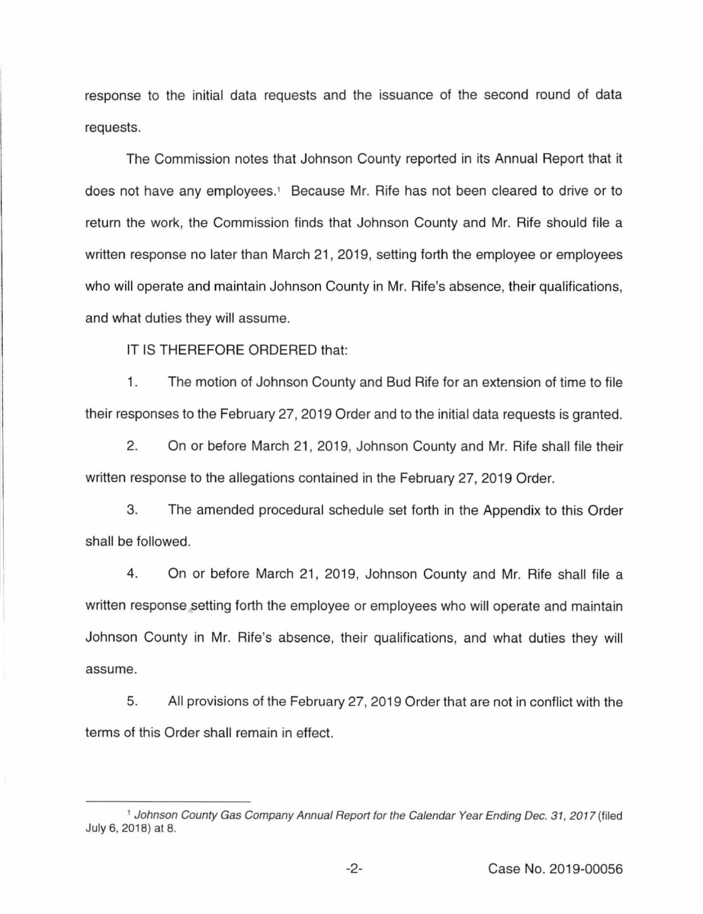response to the initial data requests and the issuance of the second round of data requests.

The Commission notes that Johnson County reported in its Annual Report that it does not have any employees.<sup>1</sup> Because Mr. Rife has not been cleared to drive or to return the work, the Commission finds that Johnson County and Mr. Rife should file a written response no later than March 21, 2019, setting forth the employee or employees who will operate and maintain Johnson County in Mr. Rite's absence, their qualifications, and what duties they will assume.

IT IS THEREFORE ORDERED that:

1. The motion of Johnson County and Bud Rife for an extension of time to file their responses to the February 27, 2019 Order and to the initial data requests is granted.

2. On or before March 21, 2019, Johnson County and Mr. Rife shall file their written response to the allegations contained in the February 27, 2019 Order.

3. The amended procedural schedule set forth in the Appendix to this Order shall be followed.

4. On or before March 21, 2019, Johnson County and Mr. Rife shall file a written response setting forth the employee or employees who will operate and maintain Johnson County in Mr. Rite's absence, their qualifications, and what duties they will assume.

5. All provisions of the February 27, 2019 Order that are not in conflict with the terms of this Order shall remain in effect.

<sup>&</sup>lt;sup>1</sup> Johnson County Gas Company Annual Report for the Calendar Year Ending Dec. 31, 2017 (filed July 6, 2018) at 8.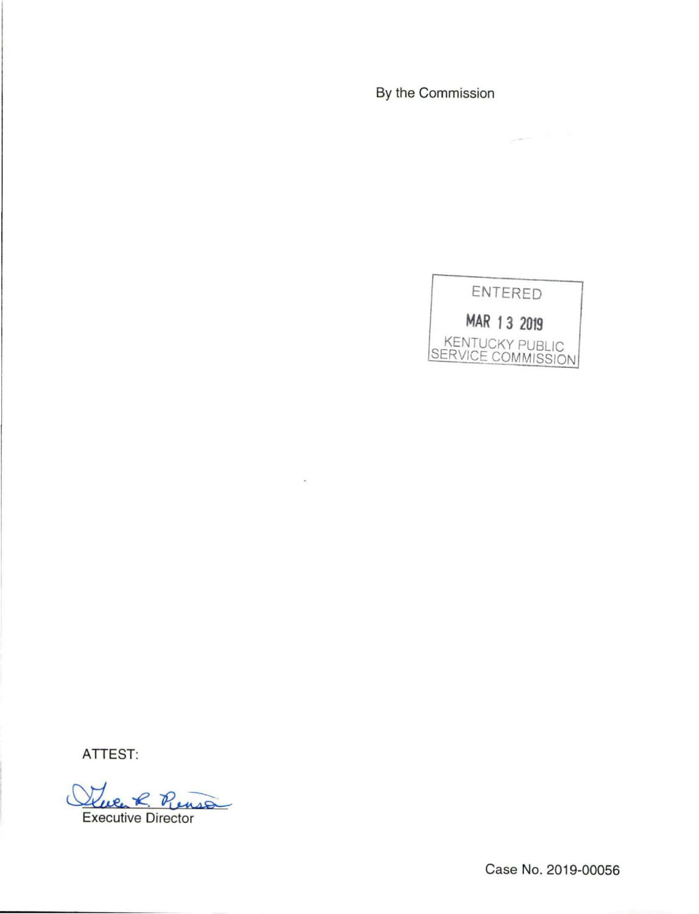By the Commission



 $\sim$   $\sim$   $\sim$ 

ATTEST:

Elue K. Renso

Case No. 2019-00056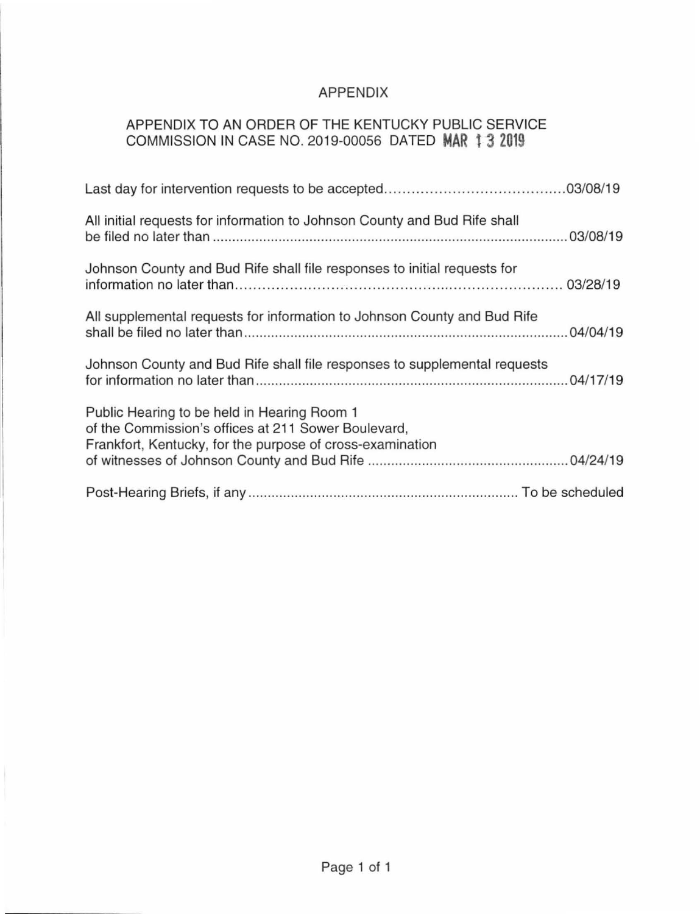# APPENDIX

# APPENDIX TO AN ORDER OF THE KENTUCKY PUBLIC SERVICE COMMISSION IN CASE NO. 2019-00056 DATED **MAR 132019**

| All initial requests for information to Johnson County and Bud Rife shall                                                                                       |
|-----------------------------------------------------------------------------------------------------------------------------------------------------------------|
| Johnson County and Bud Rife shall file responses to initial requests for                                                                                        |
| All supplemental requests for information to Johnson County and Bud Rife                                                                                        |
| Johnson County and Bud Rife shall file responses to supplemental requests                                                                                       |
| Public Hearing to be held in Hearing Room 1<br>of the Commission's offices at 211 Sower Boulevard,<br>Frankfort, Kentucky, for the purpose of cross-examination |
|                                                                                                                                                                 |